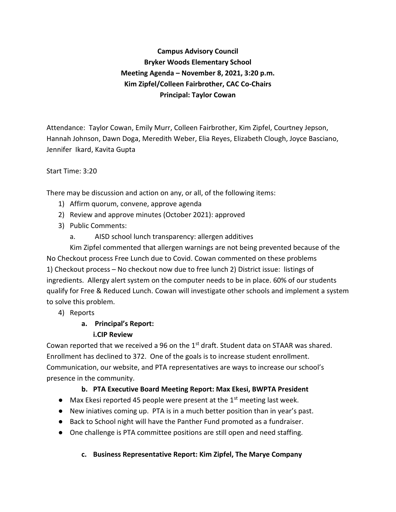**Campus Advisory Council Bryker Woods Elementary School Meeting Agenda – November 8, 2021, 3:20 p.m. Kim Zipfel/Colleen Fairbrother, CAC Co-Chairs Principal: Taylor Cowan**

Attendance: Taylor Cowan, Emily Murr, Colleen Fairbrother, Kim Zipfel, Courtney Jepson, Hannah Johnson, Dawn Doga, Meredith Weber, Elia Reyes, Elizabeth Clough, Joyce Basciano, Jennifer Ikard, Kavita Gupta

## Start Time: 3:20

There may be discussion and action on any, or all, of the following items:

- 1) Affirm quorum, convene, approve agenda
- 2) Review and approve minutes (October 2021): approved
- 3) Public Comments:
	- a. AISD school lunch transparency: allergen additives

Kim Zipfel commented that allergen warnings are not being prevented because of the No Checkout process Free Lunch due to Covid. Cowan commented on these problems 1) Checkout process – No checkout now due to free lunch 2) District issue: listings of ingredients. Allergy alert system on the computer needs to be in place. 60% of our students qualify for Free & Reduced Lunch. Cowan will investigate other schools and implement a system to solve this problem.

4) Reports

# **a. Principal's Report:**

## **i.CIP Review**

Cowan reported that we received a 96 on the  $1<sup>st</sup>$  draft. Student data on STAAR was shared. Enrollment has declined to 372. One of the goals is to increase student enrollment. Communication, our website, and PTA representatives are ways to increase our school's presence in the community.

## **b. PTA Executive Board Meeting Report: Max Ekesi, BWPTA President**

- $\bullet$  Max Ekesi reported 45 people were present at the 1<sup>st</sup> meeting last week.
- New iniatives coming up. PTA is in a much better position than in year's past.
- Back to School night will have the Panther Fund promoted as a fundraiser.
- One challenge is PTA committee positions are still open and need staffing.

## **c. Business Representative Report: Kim Zipfel, The Marye Company**